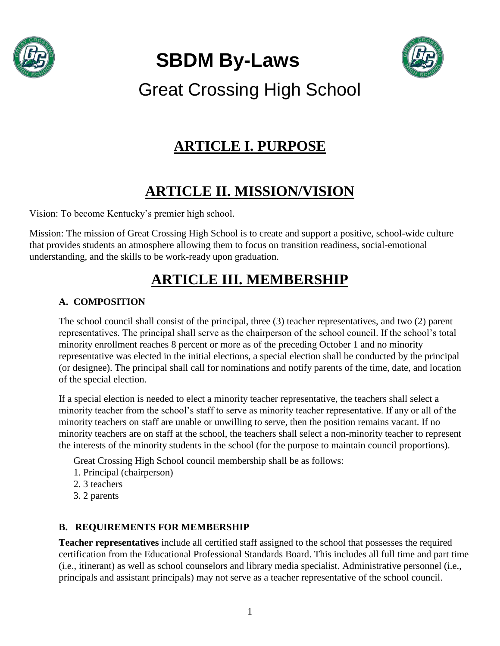

**SBDM By-Laws**



Great Crossing High School

## **ARTICLE I. PURPOSE**

# **ARTICLE II. MISSION/VISION**

Vision: To become Kentucky's premier high school.

Mission: The mission of Great Crossing High School is to create and support a positive, school-wide culture that provides students an atmosphere allowing them to focus on transition readiness, social-emotional understanding, and the skills to be work-ready upon graduation.

# **ARTICLE III. MEMBERSHIP**

## **A. COMPOSITION**

The school council shall consist of the principal, three (3) teacher representatives, and two (2) parent representatives. The principal shall serve as the chairperson of the school council. If the school's total minority enrollment reaches 8 percent or more as of the preceding October 1 and no minority representative was elected in the initial elections, a special election shall be conducted by the principal (or designee). The principal shall call for nominations and notify parents of the time, date, and location of the special election.

If a special election is needed to elect a minority teacher representative, the teachers shall select a minority teacher from the school's staff to serve as minority teacher representative. If any or all of the minority teachers on staff are unable or unwilling to serve, then the position remains vacant. If no minority teachers are on staff at the school, the teachers shall select a non-minority teacher to represent the interests of the minority students in the school (for the purpose to maintain council proportions).

Great Crossing High School council membership shall be as follows:

- 1. Principal (chairperson)
- 2. 3 teachers
- 3. 2 parents

### **B. REQUIREMENTS FOR MEMBERSHIP**

**Teacher representatives** include all certified staff assigned to the school that possesses the required certification from the Educational Professional Standards Board. This includes all full time and part time (i.e., itinerant) as well as school counselors and library media specialist. Administrative personnel (i.e., principals and assistant principals) may not serve as a teacher representative of the school council.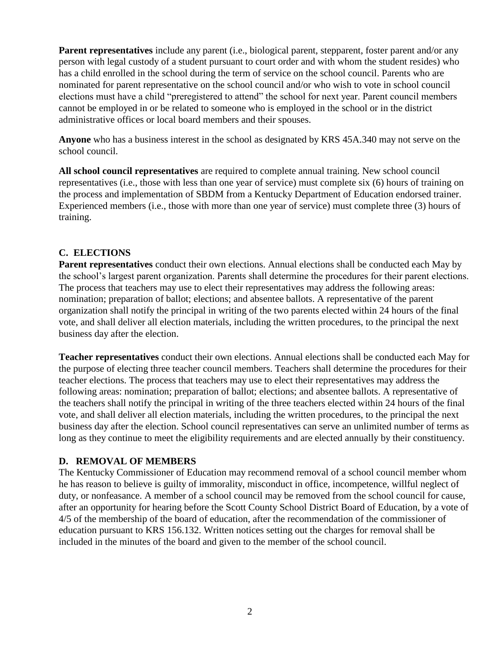**Parent representatives** include any parent (i.e., biological parent, stepparent, foster parent and/or any person with legal custody of a student pursuant to court order and with whom the student resides) who has a child enrolled in the school during the term of service on the school council. Parents who are nominated for parent representative on the school council and/or who wish to vote in school council elections must have a child "preregistered to attend" the school for next year. Parent council members cannot be employed in or be related to someone who is employed in the school or in the district administrative offices or local board members and their spouses.

**Anyone** who has a business interest in the school as designated by KRS 45A.340 may not serve on the school council.

**All school council representatives** are required to complete annual training. New school council representatives (i.e., those with less than one year of service) must complete six (6) hours of training on the process and implementation of SBDM from a Kentucky Department of Education endorsed trainer. Experienced members (i.e., those with more than one year of service) must complete three (3) hours of training.

### **C. ELECTIONS**

**Parent representatives** conduct their own elections. Annual elections shall be conducted each May by the school's largest parent organization. Parents shall determine the procedures for their parent elections. The process that teachers may use to elect their representatives may address the following areas: nomination; preparation of ballot; elections; and absentee ballots. A representative of the parent organization shall notify the principal in writing of the two parents elected within 24 hours of the final vote, and shall deliver all election materials, including the written procedures, to the principal the next business day after the election.

**Teacher representatives** conduct their own elections. Annual elections shall be conducted each May for the purpose of electing three teacher council members. Teachers shall determine the procedures for their teacher elections. The process that teachers may use to elect their representatives may address the following areas: nomination; preparation of ballot; elections; and absentee ballots. A representative of the teachers shall notify the principal in writing of the three teachers elected within 24 hours of the final vote, and shall deliver all election materials, including the written procedures, to the principal the next business day after the election. School council representatives can serve an unlimited number of terms as long as they continue to meet the eligibility requirements and are elected annually by their constituency.

### **D. REMOVAL OF MEMBERS**

The Kentucky Commissioner of Education may recommend removal of a school council member whom he has reason to believe is guilty of immorality, misconduct in office, incompetence, willful neglect of duty, or nonfeasance. A member of a school council may be removed from the school council for cause, after an opportunity for hearing before the Scott County School District Board of Education, by a vote of 4/5 of the membership of the board of education, after the recommendation of the commissioner of education pursuant to KRS 156.132. Written notices setting out the charges for removal shall be included in the minutes of the board and given to the member of the school council.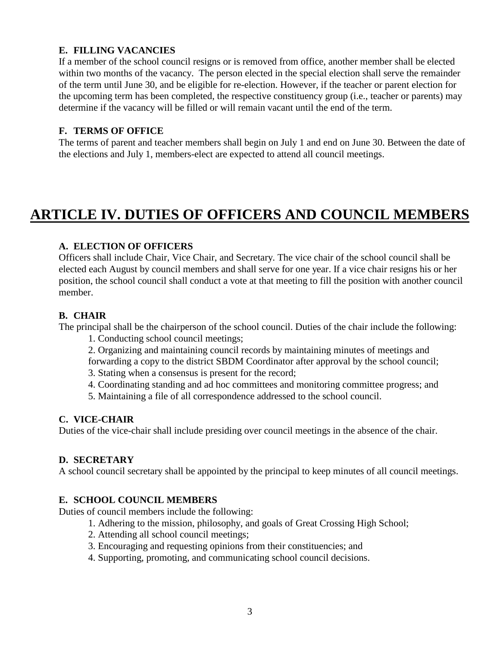### **E. FILLING VACANCIES**

If a member of the school council resigns or is removed from office, another member shall be elected within two months of the vacancy. The person elected in the special election shall serve the remainder of the term until June 30, and be eligible for re-election. However, if the teacher or parent election for the upcoming term has been completed, the respective constituency group (i.e., teacher or parents) may determine if the vacancy will be filled or will remain vacant until the end of the term.

### **F. TERMS OF OFFICE**

The terms of parent and teacher members shall begin on July 1 and end on June 30. Between the date of the elections and July 1, members-elect are expected to attend all council meetings.

## **ARTICLE IV. DUTIES OF OFFICERS AND COUNCIL MEMBERS**

#### **A. ELECTION OF OFFICERS**

Officers shall include Chair, Vice Chair, and Secretary. The vice chair of the school council shall be elected each August by council members and shall serve for one year. If a vice chair resigns his or her position, the school council shall conduct a vote at that meeting to fill the position with another council member.

#### **B. CHAIR**

The principal shall be the chairperson of the school council. Duties of the chair include the following:

- 1. Conducting school council meetings;
- 2. Organizing and maintaining council records by maintaining minutes of meetings and
- forwarding a copy to the district SBDM Coordinator after approval by the school council;
- 3. Stating when a consensus is present for the record;
- 4. Coordinating standing and ad hoc committees and monitoring committee progress; and
- 5. Maintaining a file of all correspondence addressed to the school council.

### **C. VICE-CHAIR**

Duties of the vice-chair shall include presiding over council meetings in the absence of the chair.

### **D. SECRETARY**

A school council secretary shall be appointed by the principal to keep minutes of all council meetings.

### **E. SCHOOL COUNCIL MEMBERS**

Duties of council members include the following:

- 1. Adhering to the mission, philosophy, and goals of Great Crossing High School;
- 2. Attending all school council meetings;
- 3. Encouraging and requesting opinions from their constituencies; and
- 4. Supporting, promoting, and communicating school council decisions.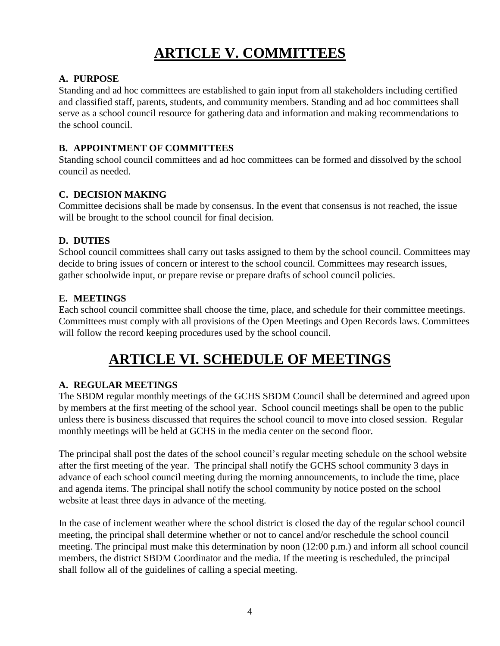# **ARTICLE V. COMMITTEES**

### **A. PURPOSE**

Standing and ad hoc committees are established to gain input from all stakeholders including certified and classified staff, parents, students, and community members. Standing and ad hoc committees shall serve as a school council resource for gathering data and information and making recommendations to the school council.

### **B. APPOINTMENT OF COMMITTEES**

Standing school council committees and ad hoc committees can be formed and dissolved by the school council as needed.

### **C. DECISION MAKING**

Committee decisions shall be made by consensus. In the event that consensus is not reached, the issue will be brought to the school council for final decision.

### **D. DUTIES**

School council committees shall carry out tasks assigned to them by the school council. Committees may decide to bring issues of concern or interest to the school council. Committees may research issues, gather schoolwide input, or prepare revise or prepare drafts of school council policies.

## **E. MEETINGS**

Each school council committee shall choose the time, place, and schedule for their committee meetings. Committees must comply with all provisions of the Open Meetings and Open Records laws. Committees will follow the record keeping procedures used by the school council.

## **ARTICLE VI. SCHEDULE OF MEETINGS**

### **A. REGULAR MEETINGS**

The SBDM regular monthly meetings of the GCHS SBDM Council shall be determined and agreed upon by members at the first meeting of the school year. School council meetings shall be open to the public unless there is business discussed that requires the school council to move into closed session. Regular monthly meetings will be held at GCHS in the media center on the second floor.

The principal shall post the dates of the school council's regular meeting schedule on the school website after the first meeting of the year. The principal shall notify the GCHS school community 3 days in advance of each school council meeting during the morning announcements, to include the time, place and agenda items. The principal shall notify the school community by notice posted on the school website at least three days in advance of the meeting.

In the case of inclement weather where the school district is closed the day of the regular school council meeting, the principal shall determine whether or not to cancel and/or reschedule the school council meeting. The principal must make this determination by noon (12:00 p.m.) and inform all school council members, the district SBDM Coordinator and the media. If the meeting is rescheduled, the principal shall follow all of the guidelines of calling a special meeting.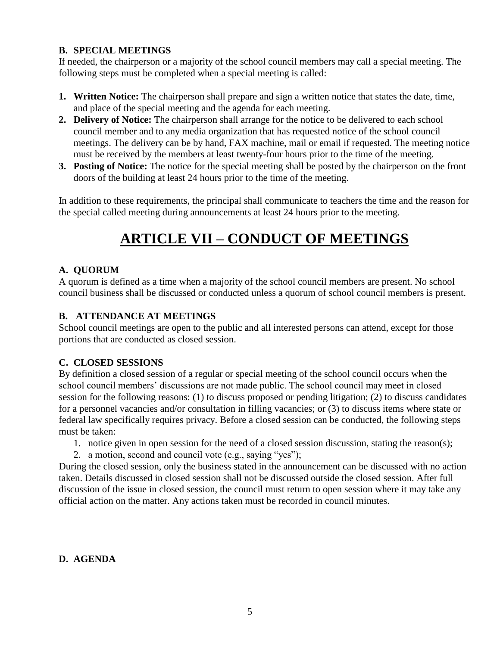### **B. SPECIAL MEETINGS**

If needed, the chairperson or a majority of the school council members may call a special meeting. The following steps must be completed when a special meeting is called:

- **1. Written Notice:** The chairperson shall prepare and sign a written notice that states the date, time, and place of the special meeting and the agenda for each meeting.
- **2. Delivery of Notice:** The chairperson shall arrange for the notice to be delivered to each school council member and to any media organization that has requested notice of the school council meetings. The delivery can be by hand, FAX machine, mail or email if requested. The meeting notice must be received by the members at least twenty-four hours prior to the time of the meeting.
- **3. Posting of Notice:** The notice for the special meeting shall be posted by the chairperson on the front doors of the building at least 24 hours prior to the time of the meeting.

In addition to these requirements, the principal shall communicate to teachers the time and the reason for the special called meeting during announcements at least 24 hours prior to the meeting.

# **ARTICLE VII – CONDUCT OF MEETINGS**

## **A. QUORUM**

A quorum is defined as a time when a majority of the school council members are present. No school council business shall be discussed or conducted unless a quorum of school council members is present.

### **B. ATTENDANCE AT MEETINGS**

School council meetings are open to the public and all interested persons can attend, except for those portions that are conducted as closed session.

### **C. CLOSED SESSIONS**

By definition a closed session of a regular or special meeting of the school council occurs when the school council members' discussions are not made public. The school council may meet in closed session for the following reasons: (1) to discuss proposed or pending litigation; (2) to discuss candidates for a personnel vacancies and/or consultation in filling vacancies; or (3) to discuss items where state or federal law specifically requires privacy. Before a closed session can be conducted, the following steps must be taken:

1. notice given in open session for the need of a closed session discussion, stating the reason(s);

2. a motion, second and council vote (e.g., saying "yes");

During the closed session, only the business stated in the announcement can be discussed with no action taken. Details discussed in closed session shall not be discussed outside the closed session. After full discussion of the issue in closed session, the council must return to open session where it may take any official action on the matter. Any actions taken must be recorded in council minutes.

### **D. AGENDA**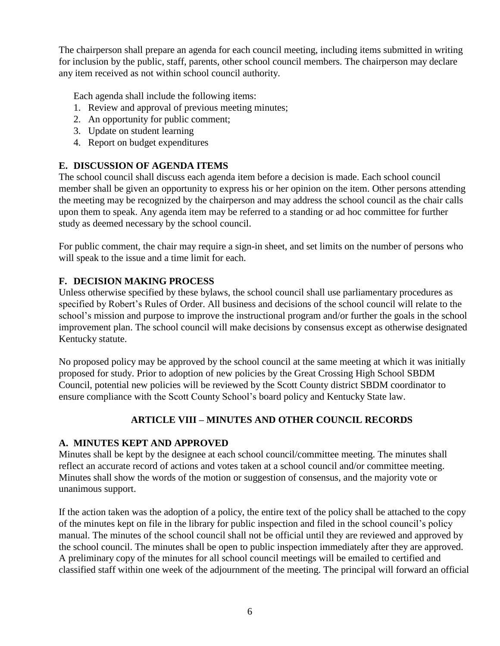The chairperson shall prepare an agenda for each council meeting, including items submitted in writing for inclusion by the public, staff, parents, other school council members. The chairperson may declare any item received as not within school council authority.

Each agenda shall include the following items:

- 1. Review and approval of previous meeting minutes;
- 2. An opportunity for public comment;
- 3. Update on student learning
- 4. Report on budget expenditures

### **E. DISCUSSION OF AGENDA ITEMS**

The school council shall discuss each agenda item before a decision is made. Each school council member shall be given an opportunity to express his or her opinion on the item. Other persons attending the meeting may be recognized by the chairperson and may address the school council as the chair calls upon them to speak. Any agenda item may be referred to a standing or ad hoc committee for further study as deemed necessary by the school council.

For public comment, the chair may require a sign-in sheet, and set limits on the number of persons who will speak to the issue and a time limit for each.

### **F. DECISION MAKING PROCESS**

Unless otherwise specified by these bylaws, the school council shall use parliamentary procedures as specified by Robert's Rules of Order. All business and decisions of the school council will relate to the school's mission and purpose to improve the instructional program and/or further the goals in the school improvement plan. The school council will make decisions by consensus except as otherwise designated Kentucky statute.

No proposed policy may be approved by the school council at the same meeting at which it was initially proposed for study. Prior to adoption of new policies by the Great Crossing High School SBDM Council, potential new policies will be reviewed by the Scott County district SBDM coordinator to ensure compliance with the Scott County School's board policy and Kentucky State law.

## **ARTICLE VIII – MINUTES AND OTHER COUNCIL RECORDS**

### **A. MINUTES KEPT AND APPROVED**

Minutes shall be kept by the designee at each school council/committee meeting. The minutes shall reflect an accurate record of actions and votes taken at a school council and/or committee meeting. Minutes shall show the words of the motion or suggestion of consensus, and the majority vote or unanimous support.

If the action taken was the adoption of a policy, the entire text of the policy shall be attached to the copy of the minutes kept on file in the library for public inspection and filed in the school council's policy manual. The minutes of the school council shall not be official until they are reviewed and approved by the school council. The minutes shall be open to public inspection immediately after they are approved. A preliminary copy of the minutes for all school council meetings will be emailed to certified and classified staff within one week of the adjournment of the meeting. The principal will forward an official